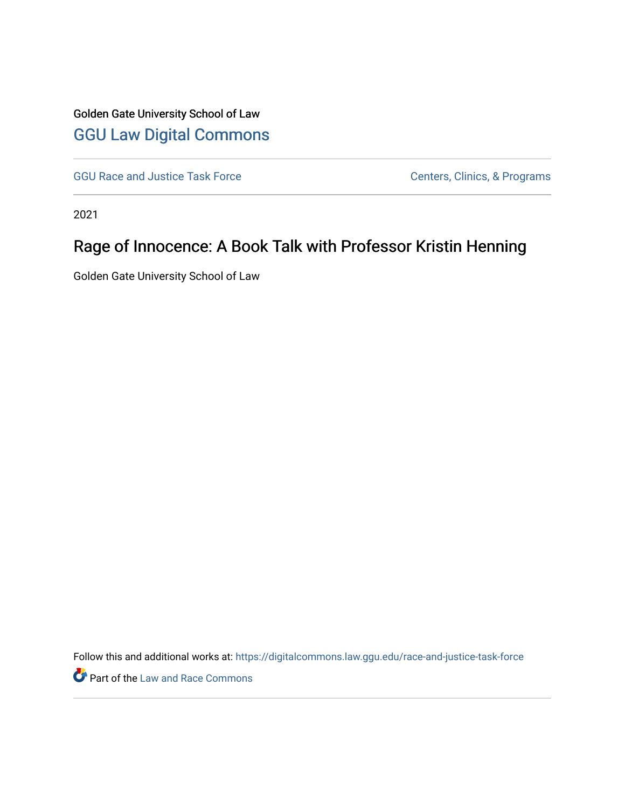## Golden Gate University School of Law [GGU Law Digital Commons](https://digitalcommons.law.ggu.edu/)

[GGU Race and Justice Task Force](https://digitalcommons.law.ggu.edu/race-and-justice-task-force) Centers, Clinics, & Programs

2021

## Rage of Innocence: A Book Talk with Professor Kristin Henning

Golden Gate University School of Law

Follow this and additional works at: [https://digitalcommons.law.ggu.edu/race-and-justice-task-force](https://digitalcommons.law.ggu.edu/race-and-justice-task-force?utm_source=digitalcommons.law.ggu.edu%2Frace-and-justice-task-force%2F5&utm_medium=PDF&utm_campaign=PDFCoverPages)

Part of the [Law and Race Commons](http://network.bepress.com/hgg/discipline/1300?utm_source=digitalcommons.law.ggu.edu%2Frace-and-justice-task-force%2F5&utm_medium=PDF&utm_campaign=PDFCoverPages)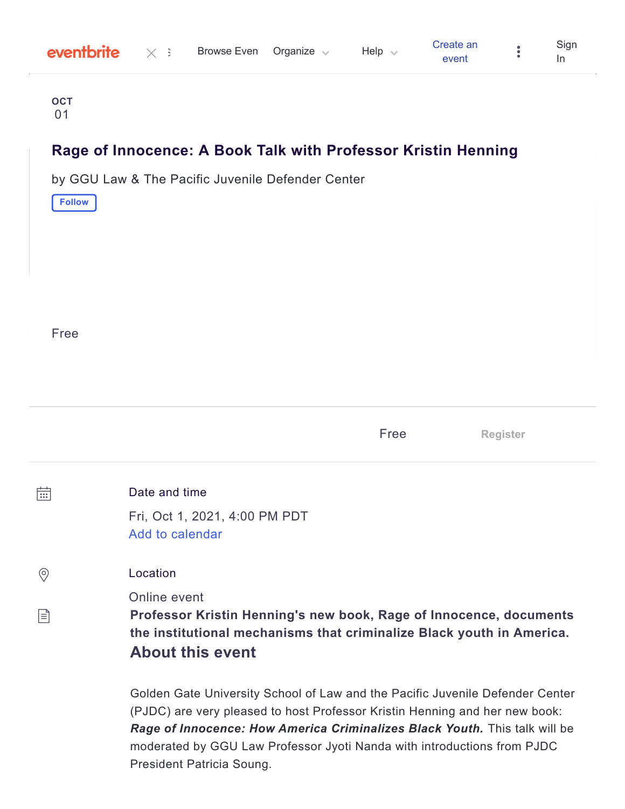| eventbrite | Browse Even Organize | Help $\langle$ | Create an | Sign |
|------------|----------------------|----------------|-----------|------|
|            |                      |                | event     |      |

**OCT** 01

## **Rage of Innocence: A Book Talk with Professor Kristin Henning**

by GGU Law & The Pacific Juvenile [Defender](#page-3-0) Center

**Follow**

Free

|         |                                                                                                                                                                                                                                            | Free | <b>Register</b> |
|---------|--------------------------------------------------------------------------------------------------------------------------------------------------------------------------------------------------------------------------------------------|------|-----------------|
| 崗       | Date and time<br>Fri, Oct 1, 2021, 4:00 PM PDT<br>Add to calendar                                                                                                                                                                          |      |                 |
| $\circ$ | Location                                                                                                                                                                                                                                   |      |                 |
| 闫       | Online event<br>Professor Kristin Henning's new book, Rage of Innocence, documents<br>the institutional mechanisms that criminalize Black youth in America.<br><b>About this event</b>                                                     |      |                 |
|         | Golden Gate University School of Law and the Pacific Juvenile Defender Center<br>(PJDC) are very pleased to host Professor Kristin Henning and her new book:<br>Rage of Innocence: How America Criminalizes Black Youth. This talk will be |      |                 |

moderated by GGU Law Professor Jyoti Nanda with introductions from PJDC President Patricia Soung.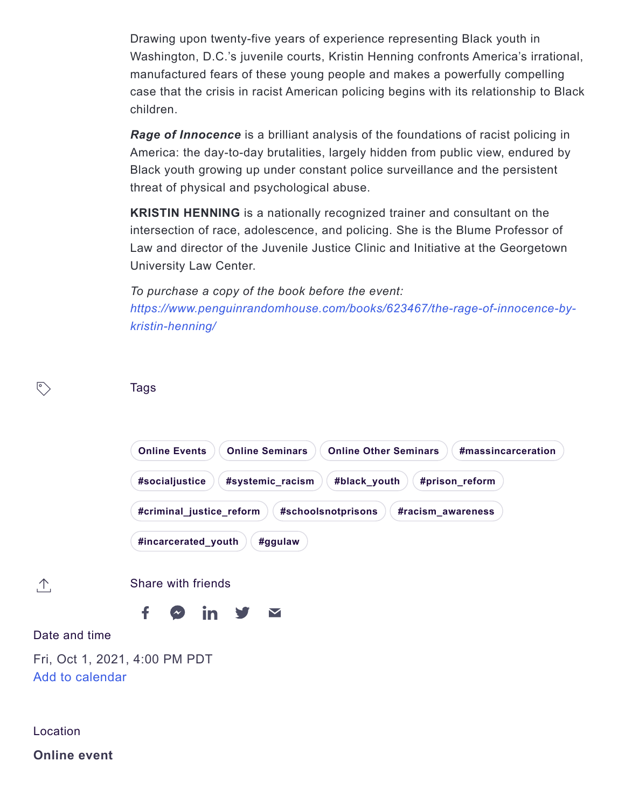Drawing upon twenty-five years of experience representing Black youth in Washington, D.C.'s juvenile courts, Kristin Henning confronts America's irrational, manufactured fears of these young people and makes a powerfully compelling case that the crisis in racist American policing begins with its relationship to Black children.

*Rage of Innocence* is a brilliant analysis of the foundations of racist policing in America: the day-to-day brutalities, largely hidden from public view, endured by Black youth growing up under constant police surveillance and the persistent threat of physical and psychological abuse.

**KRISTIN HENNING** is a nationally recognized trainer and consultant on the intersection of race, adolescence, and policing. She is the Blume Professor of Law and director of the Juvenile Justice Clinic and Initiative at the Georgetown University Law Center.

*To purchase a copy of the book before the event: [https://www.penguinrandomhouse.com/books/623467/the-rage-of-innocence-by](https://www.penguinrandomhouse.com/books/623467/the-rage-of-innocence-by-kristin-henning/)kristin-henning/*

| $\sqrt{\circ}$                                                      | <b>Tags</b>                                                                                          |  |  |  |  |  |  |  |
|---------------------------------------------------------------------|------------------------------------------------------------------------------------------------------|--|--|--|--|--|--|--|
|                                                                     | <b>Online Events</b><br><b>Online Seminars</b><br><b>Online Other Seminars</b><br>#massincarceration |  |  |  |  |  |  |  |
|                                                                     | #socialjustice<br>#systemic_racism<br>#black_youth<br>#prison_reform                                 |  |  |  |  |  |  |  |
| #criminal_justice_reform<br>#schoolsnotprisons<br>#racism_awareness |                                                                                                      |  |  |  |  |  |  |  |
|                                                                     | #incarcerated_youth<br>#ggulaw                                                                       |  |  |  |  |  |  |  |
| $\Lambda$                                                           | Share with friends                                                                                   |  |  |  |  |  |  |  |
|                                                                     | f<br><u>in</u><br>$\blacktriangledown$                                                               |  |  |  |  |  |  |  |
| Date and time                                                       |                                                                                                      |  |  |  |  |  |  |  |
| Fri, Oct 1, 2021, 4:00 PM PDT<br>Add to calendar                    |                                                                                                      |  |  |  |  |  |  |  |
| Location                                                            |                                                                                                      |  |  |  |  |  |  |  |
| <b>Online event</b>                                                 |                                                                                                      |  |  |  |  |  |  |  |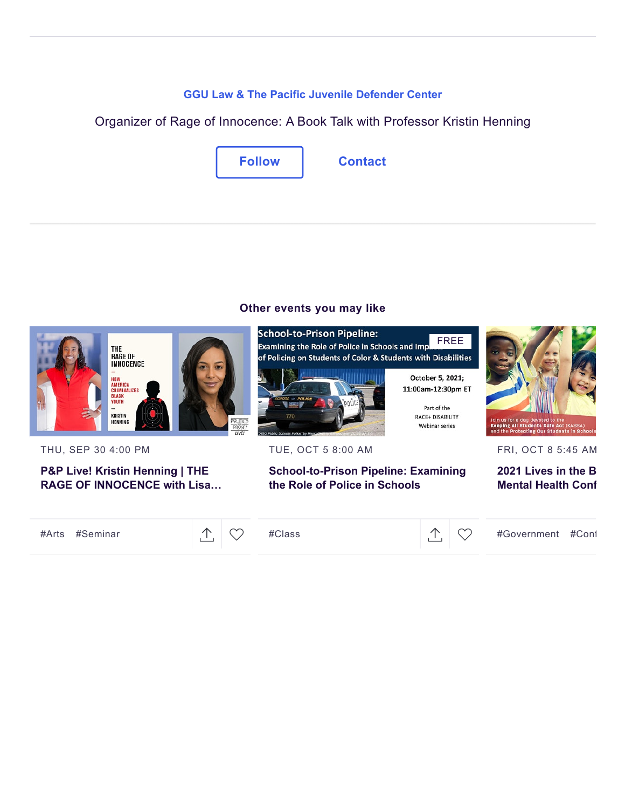#### **[GGU Law & The Pacific Juvenile Defender Center](https://www.eventbrite.com/o/ggu-law-amp-the-pacific-juvenile-defender-center-34325042059)**

<span id="page-3-0"></span>Organizer of Rage of Innocence: A Book Talk with Professor Kristin Henning



### **Other events you may like**



THU, SEP 30 4:00 PM

**P&P Live! Kristin Henning | THE [RAGE OF INNOCENCE with Lisa…](https://www.eventbrite.com/e/pp-live-kristin-henning-the-rage-of-innocence-with-lisa-lucas-tickets-165936178577?aff=erellivmlt)**

[#Arts](https://www.eventbrite.com/d/local/events/) [#Seminar](https://www.eventbrite.com/d/local/events/)  $\mathbb{C}$   $\mathbb{C}$ 

[#Class](https://www.eventbrite.com/d/local/events/)  $\hat{\mathcal{L}}$   $\hat{\mathcal{L}}$   $\hat{\mathcal{L}}$ 



TUE, OCT 5 8:00 AM

### **[School-to-Prison Pipeline: Examining](https://www.eventbrite.com/e/school-to-prison-pipeline-examining-the-role-of-police-in-schools-tickets-169957504471?aff=erellivmlt) the Role of Police in Schools**



FREE

Part of the

RACE+ DISABILITY

Webinar series

FRI, OCT 8 5:45 AM

**[2021 Lives in the B](https://www.eventbrite.com/e/2021-lives-in-the-balance-childrens-mental-health-conference-registration-162671780675?aff=erellivmlt) Mental Health Conf**

[#Government](https://www.eventbrite.com/d/local/events/) [#Conf](https://www.eventbrite.com/d/local/events/)